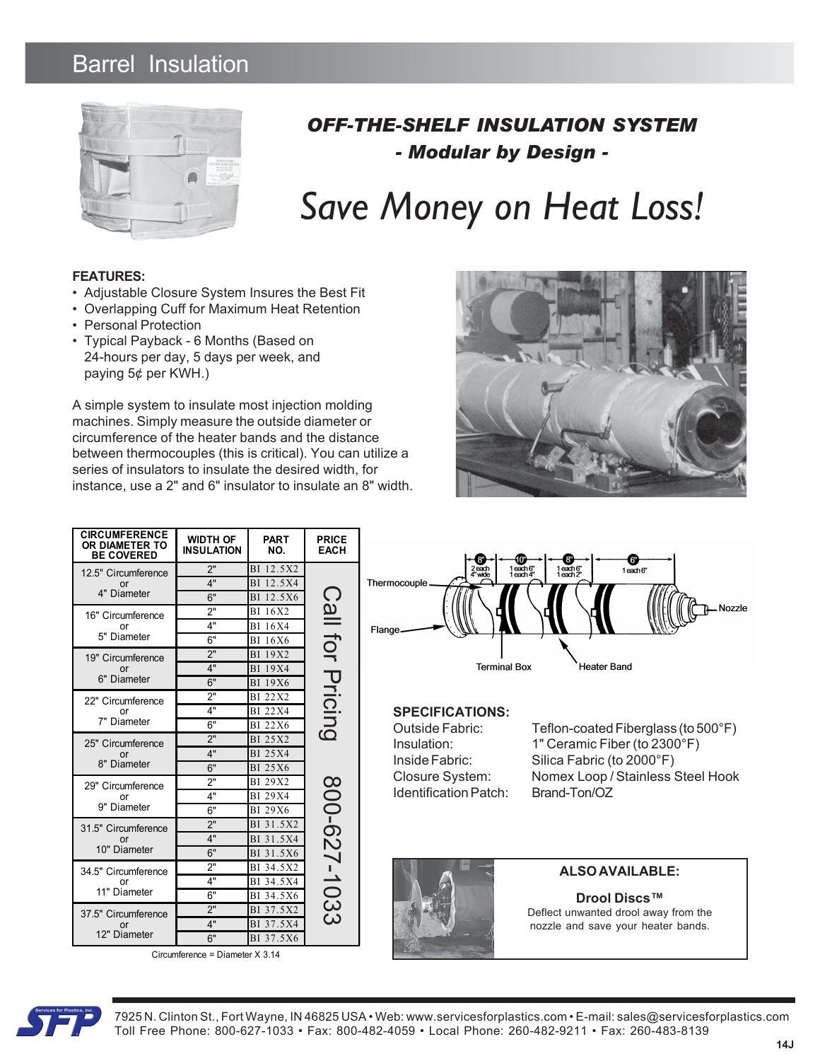## Barrel Insulation



### *OFF-THE-SHELF INSULATION SYSTEM - Modular by Design -*

# *Save Money on Heat Loss!*

#### **FEATURES:**

- Adjustable Closure System Insures the Best Fit
- Overlapping Cuff for Maximum Heat Retention
- Personal Protection
- Typical Payback 6 Months (Based on 24-hours per day, 5 days per week, and paying 5¢ per KWH.)

A simple system to insulate most injection molding machines. Simply measure the outside diameter or circumference of the heater bands and the distance between thermocouples (this is critical). You can utilize a series of insulators to insulate the desired width, for instance, use a 2" and 6" insulator to insulate an 8" width.



|  | <b>CIRCUMFERENCE</b><br>OR DIAMETER TO<br><b>BE COVERED</b> | <b>WIDTH OF</b><br><b>INSULATION</b> | <b>PART</b><br>NO.     | <b>PRICE</b><br><b>EACH</b>                      | ሙ<br><b>PU</b><br>์ 6")                                                                                          |  |  |
|--|-------------------------------------------------------------|--------------------------------------|------------------------|--------------------------------------------------|------------------------------------------------------------------------------------------------------------------|--|--|
|  | 12.5" Circumference<br>or<br>4" Diameter                    | 2"                                   | BI 12.5X2              | $\bigcap$<br>JOJ IIB;<br>Pricing<br>800-627-1033 | 1each6"<br>1each4"<br>$1$ each $6$ "<br>$1$ each $2$ "<br>2 each<br>4" wide<br>1each 6"<br>Thermocouple<br>Nozzl |  |  |
|  |                                                             | 4"                                   | BI 12.5X4              |                                                  |                                                                                                                  |  |  |
|  |                                                             | 6"                                   | BI 12.5X6              |                                                  |                                                                                                                  |  |  |
|  | 16" Circumference<br>or<br>5" Diameter                      | 2"                                   | BI 16X2                |                                                  |                                                                                                                  |  |  |
|  |                                                             | 4"                                   | <b>BI</b> 16X4         |                                                  | Flange                                                                                                           |  |  |
|  |                                                             | 6"                                   | <b>BI</b> 16X6         |                                                  |                                                                                                                  |  |  |
|  | 19" Circumference<br>or<br>6" Diameter                      | 2"                                   | <b>BI</b> 19X2         |                                                  |                                                                                                                  |  |  |
|  |                                                             | 4"                                   | <b>BI</b> 19X4         |                                                  | <b>Terminal Box</b><br><b>Heater Band</b>                                                                        |  |  |
|  |                                                             | 6"                                   | <b>BI</b> 19X6         |                                                  |                                                                                                                  |  |  |
|  | 22" Circumference<br>Ωr<br>7" Diameter                      | 2"                                   | <b>BI 22X2</b>         |                                                  |                                                                                                                  |  |  |
|  |                                                             | 4"                                   | <b>BI 22X4</b>         |                                                  | <b>SPECIFICATIONS:</b>                                                                                           |  |  |
|  |                                                             | 6"                                   | <b>BI 22X6</b>         |                                                  | <b>Outside Fabric:</b><br>Teflon-coated Fiberglass (to 500°F)                                                    |  |  |
|  | 25" Circumference<br><sub>or</sub><br>8" Diameter           | 2"                                   | BI 25X2                |                                                  | 1" Ceramic Fiber (to 2300°F)<br>Insulation:                                                                      |  |  |
|  |                                                             | 4"                                   | <b>BI</b> 25X4         |                                                  | Silica Fabric (to 2000°F)<br>Inside Fabric:                                                                      |  |  |
|  |                                                             | 6"                                   | <b>BI 25X6</b>         |                                                  | Nomex Loop / Stainless Steel Hook<br>Closure System:                                                             |  |  |
|  | 29" Circumference<br>or<br>9" Diameter                      | 2"                                   | BI 29X2                |                                                  | <b>Identification Patch:</b><br>Brand-Ton/OZ                                                                     |  |  |
|  |                                                             | 4"                                   | <b>BI 29X4</b>         |                                                  |                                                                                                                  |  |  |
|  |                                                             | 6"                                   | <b>BI</b> 29X6         |                                                  |                                                                                                                  |  |  |
|  | 31.5" Circumference<br>or<br>10" Diameter                   | 2"                                   | BI 31.5X2              |                                                  |                                                                                                                  |  |  |
|  |                                                             | 4"                                   | BI 31.5X4              |                                                  |                                                                                                                  |  |  |
|  |                                                             | 6"<br>2"                             | BI 31.5X6<br>BI 34.5X2 |                                                  |                                                                                                                  |  |  |
|  | 34.5" Circumference<br>or<br>11" Diameter                   | 4"                                   | BI 34.5X4              |                                                  | <b>ALSO AVAILABLE:</b>                                                                                           |  |  |
|  |                                                             | 6"                                   | BI 34.5X6              |                                                  |                                                                                                                  |  |  |
|  | 37.5" Circumference<br>or<br>12" Diameter                   | 2"                                   | BI 37.5X2              |                                                  | <b>Drool Discs™</b>                                                                                              |  |  |
|  |                                                             | 4"                                   | BI 37.5X4              |                                                  | Deflect unwanted drool away from the                                                                             |  |  |
|  |                                                             | 6"                                   | BI 37.5X6              |                                                  | nozzle and save your heater bands.                                                                               |  |  |

Circumference = Diameter X 3.14

#### $E:$



7925 N. Clinton St., Fort Wayne, IN 46825 USA • Web: www.servicesforplastics.com • E-mail: sales@servicesforplastics.com Toll Free Phone: 800-627-1033 • Fax: 800-482-4059 • Local Phone: 260-482-9211 • Fax: 260-483-8139

Nozzle